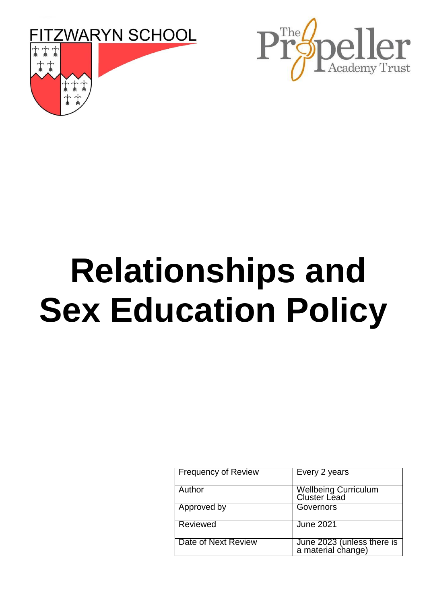



# **Relationships and Sex Education Policy**

| <b>Frequency of Review</b> | Every 2 years                                    |
|----------------------------|--------------------------------------------------|
| Author                     | Wellbeing Curriculum<br>Cluster Lead             |
| Approved by                | Governors                                        |
| <b>Reviewed</b>            | <b>June 2021</b>                                 |
| Date of Next Review        | June 2023 (unless there is<br>a material change) |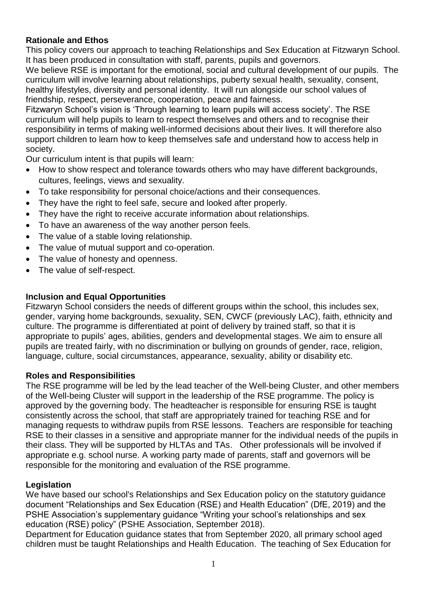## **Rationale and Ethos**

This policy covers our approach to teaching Relationships and Sex Education at Fitzwaryn School. It has been produced in consultation with staff, parents, pupils and governors.

We believe RSE is important for the emotional, social and cultural development of our pupils. The curriculum will involve learning about relationships, puberty sexual health, sexuality, consent, healthy lifestyles, diversity and personal identity. It will run alongside our school values of friendship, respect, perseverance, cooperation, peace and fairness.

Fitzwaryn School's vision is 'Through learning to learn pupils will access society'. The RSE curriculum will help pupils to learn to respect themselves and others and to recognise their responsibility in terms of making well-informed decisions about their lives. It will therefore also support children to learn how to keep themselves safe and understand how to access help in society.

Our curriculum intent is that pupils will learn:

- How to show respect and tolerance towards others who may have different backgrounds, cultures, feelings, views and sexuality.
- To take responsibility for personal choice/actions and their consequences.
- They have the right to feel safe, secure and looked after properly.
- They have the right to receive accurate information about relationships.
- To have an awareness of the way another person feels.
- The value of a stable loving relationship.
- The value of mutual support and co-operation.
- The value of honesty and openness.
- The value of self-respect.

## **Inclusion and Equal Opportunities**

Fitzwaryn School considers the needs of different groups within the school, this includes sex, gender, varying home backgrounds, sexuality, SEN, CWCF (previously LAC), faith, ethnicity and culture. The programme is differentiated at point of delivery by trained staff, so that it is appropriate to pupils' ages, abilities, genders and developmental stages. We aim to ensure all pupils are treated fairly, with no discrimination or bullying on grounds of gender, race, religion, language, culture, social circumstances, appearance, sexuality, ability or disability etc.

## **Roles and Responsibilities**

The RSE programme will be led by the lead teacher of the Well-being Cluster, and other members of the Well-being Cluster will support in the leadership of the RSE programme. The policy is approved by the governing body. The headteacher is responsible for ensuring RSE is taught consistently across the school, that staff are appropriately trained for teaching RSE and for managing requests to withdraw pupils from RSE lessons. Teachers are responsible for teaching RSE to their classes in a sensitive and appropriate manner for the individual needs of the pupils in their class. They will be supported by HLTAs and TAs. Other professionals will be involved if appropriate e.g. school nurse. A working party made of parents, staff and governors will be responsible for the monitoring and evaluation of the RSE programme.

## **Legislation**

We have based our school's Relationships and Sex Education policy on the statutory guidance document "Relationships and Sex Education (RSE) and Health Education" (DfE, 2019) and the PSHE Association's supplementary guidance "Writing your school's relationships and sex education (RSE) policy" (PSHE Association, September 2018).

Department for Education guidance states that from September 2020, all primary school aged children must be taught Relationships and Health Education. The teaching of Sex Education for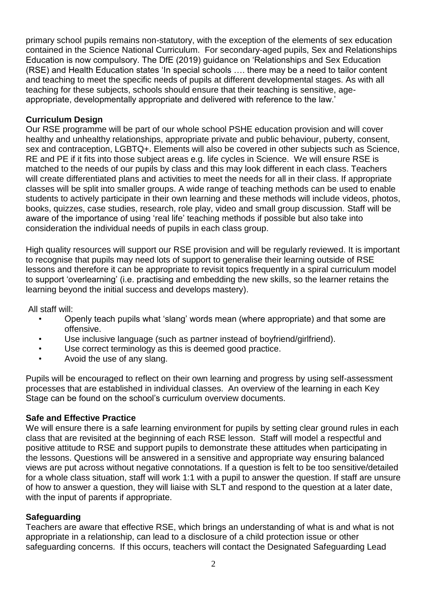primary school pupils remains non-statutory, with the exception of the elements of sex education contained in the Science National Curriculum. For secondary-aged pupils, Sex and Relationships Education is now compulsory. The DfE (2019) guidance on 'Relationships and Sex Education (RSE) and Health Education states 'In special schools …. there may be a need to tailor content and teaching to meet the specific needs of pupils at different developmental stages. As with all teaching for these subjects, schools should ensure that their teaching is sensitive, ageappropriate, developmentally appropriate and delivered with reference to the law.'

#### **Curriculum Design**

Our RSE programme will be part of our whole school PSHE education provision and will cover healthy and unhealthy relationships, appropriate private and public behaviour, puberty, consent, sex and contraception, LGBTQ+. Elements will also be covered in other subjects such as Science, RE and PE if it fits into those subject areas e.g. life cycles in Science. We will ensure RSE is matched to the needs of our pupils by class and this may look different in each class. Teachers will create differentiated plans and activities to meet the needs for all in their class. If appropriate classes will be split into smaller groups. A wide range of teaching methods can be used to enable students to actively participate in their own learning and these methods will include videos, photos, books, quizzes, case studies, research, role play, video and small group discussion. Staff will be aware of the importance of using 'real life' teaching methods if possible but also take into consideration the individual needs of pupils in each class group.

High quality resources will support our RSE provision and will be regularly reviewed. It is important to recognise that pupils may need lots of support to generalise their learning outside of RSE lessons and therefore it can be appropriate to revisit topics frequently in a spiral curriculum model to support 'overlearning' (i.e. practising and embedding the new skills, so the learner retains the learning beyond the initial success and develops mastery).

All staff will:

- Openly teach pupils what 'slang' words mean (where appropriate) and that some are offensive.
- Use inclusive language (such as partner instead of boyfriend/girlfriend).
- Use correct terminology as this is deemed good practice.
- Avoid the use of any slang.

Pupils will be encouraged to reflect on their own learning and progress by using self-assessment processes that are established in individual classes. An overview of the learning in each Key Stage can be found on the school's curriculum overview documents.

#### **Safe and Effective Practice**

We will ensure there is a safe learning environment for pupils by setting clear ground rules in each class that are revisited at the beginning of each RSE lesson. Staff will model a respectful and positive attitude to RSE and support pupils to demonstrate these attitudes when participating in the lessons. Questions will be answered in a sensitive and appropriate way ensuring balanced views are put across without negative connotations. If a question is felt to be too sensitive/detailed for a whole class situation, staff will work 1:1 with a pupil to answer the question. If staff are unsure of how to answer a question, they will liaise with SLT and respond to the question at a later date, with the input of parents if appropriate.

#### **Safeguarding**

Teachers are aware that effective RSE, which brings an understanding of what is and what is not appropriate in a relationship, can lead to a disclosure of a child protection issue or other safeguarding concerns. If this occurs, teachers will contact the Designated Safeguarding Lead